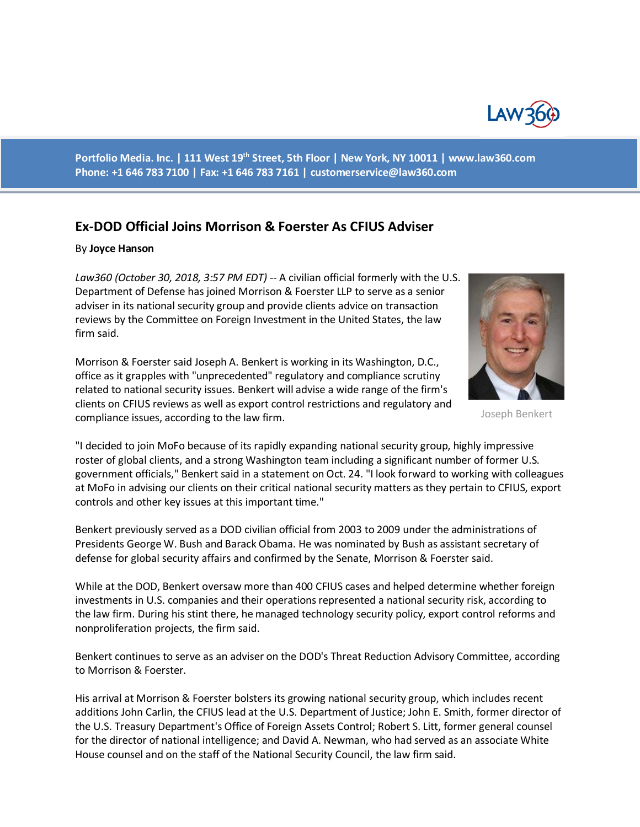

**Portfolio Media. Inc. | 111 West 19th Street, 5th Floor | New York, NY 10011 | www.law360.com Phone: +1 646 783 7100 | Fax: +1 646 783 7161 | [customerservice@law360.com](mailto:customerservice@law360.com)**

## **Ex-DOD Official Joins Morrison & Foerster As CFIUS Adviser**

## By **Joyce Hanson**

*Law360 (October 30, 2018, 3:57 PM EDT) --* A civilian official formerly with the U.S. Department of Defense has joined Morrison & Foerster LLP to serve as a senior adviser in its national security group and provide clients advice on transaction reviews by the Committee on Foreign Investment in the United States, the law firm said.



Joseph Benkert

Morrison & Foerster said Joseph A. Benkert is working in its Washington, D.C., office as it grapples with "unprecedented" regulatory and compliance scrutiny related to national security issues. Benkert will advise a wide range of the firm's clients on CFIUS reviews as well as export control restrictions and regulatory and compliance issues, according to the law firm.

"I decided to join MoFo because of its rapidly expanding national security group, highly impressive roster of global clients, and a strong Washington team including a significant number of former U.S. government officials," Benkert said in a statement on Oct. 24. "I look forward to working with colleagues at MoFo in advising our clients on their critical national security matters as they pertain to CFIUS, export controls and other key issues at this important time."

Benkert previously served as a DOD civilian official from 2003 to 2009 under the administrations of Presidents George W. Bush and Barack Obama. He was nominated by Bush as assistant secretary of defense for global security affairs and confirmed by the Senate, Morrison & Foerster said.

While at the DOD, Benkert oversaw more than 400 CFIUS cases and helped determine whether foreign investments in U.S. companies and their operations represented a national security risk, according to the law firm. During his stint there, he managed technology security policy, export control reforms and nonproliferation projects, the firm said.

Benkert continues to serve as an adviser on the DOD's Threat Reduction Advisory Committee, according to Morrison & Foerster.

His arrival at Morrison & Foerster bolsters its growing national security group, which includes recent additions John Carlin, the CFIUS lead at the U.S. Department of Justice; John E. Smith, former director of the U.S. Treasury Department's Office of Foreign Assets Control; Robert S. Litt, former general counsel for the director of national intelligence; and David A. Newman, who had served as an associate White House counsel and on the staff of the National Security Council, the law firm said.